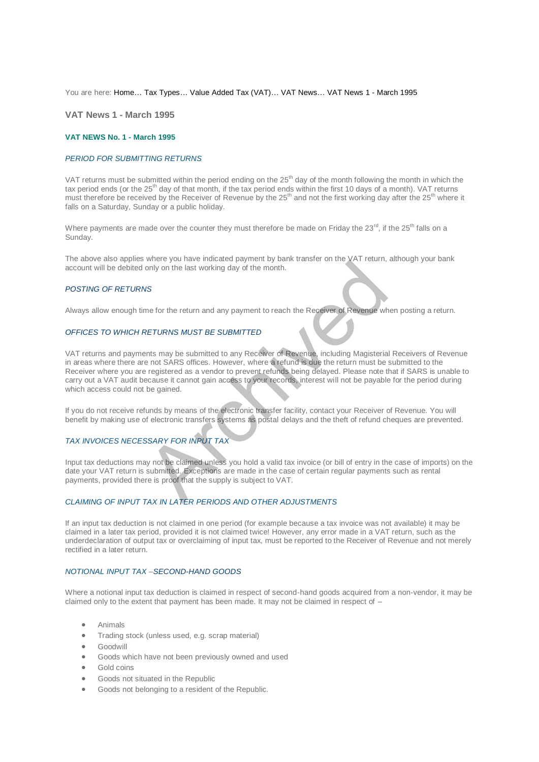You are here: [Home…](http://196.38.114.171/home.asp?pid=1) [Tax Types…](http://196.38.114.171/home.asp?pid=161) [Value Added Tax \(VAT\)…](http://196.38.114.171/home.asp?pid=194) [VAT News…](http://196.38.114.171/home.asp?pid=4722) [VAT News 1 - March 1995](http://196.38.114.171/home.asp?pid=46666) 

**VAT News 1 - March 1995** 

#### **VAT NEWS No. 1 - March 1995**

### *PERIOD FOR SUBMITTING RETURNS*

VAT returns must be submitted within the period ending on the 25<sup>th</sup> day of the month following the month in which the tax period ends (or the 25<sup>th</sup> day of that month, if the tax period ends within the first 10 days of a month). VAT returns must therefore be received by the Receiver of Revenue by the 25<sup>th</sup> and not the first working day after the 25<sup>th</sup> where it falls on a Saturday, Sunday or a public holiday.

Where payments are made over the counter they must therefore be made on Friday the  $23^{\text{rd}}$ , if the  $25^{\text{th}}$  falls on a Sunday.

The above also applies where you have indicated payment by bank transfer on the VAT return, although your bank account will be debited only on the last working day of the month.

#### *POSTING OF RETURNS*

Always allow enough time for the return and any payment to reach the Receiver of Revenue when posting a return.

#### *OFFICES TO WHICH RETURNS MUST BE SUBMITTED*

VAT returns and payments may be submitted to any Receiver of Revenue, including Magisterial Receivers of Revenue in areas where there are not SARS offices. However, where a refund is due the return must be submitted to the Receiver where you are registered as a vendor to prevent refunds being delayed. Please note that if SARS is unable to carry out a VAT audit because it cannot gain access to your records, interest will not be payable for the period during which access could not be gained. which you are the many payment by bank during the two forms and only on the last working day of the month.<br>
WS<br>
WS<br>
THE TURNS MUST BE SUBMITTED<br>
THE TURNS MUST BE SUBMITTED<br>
THE TURNS MUST BE SUBMITTED<br>
THE TURNS MUST BE S

If you do not receive refunds by means of the electronic transfer facility, contact your Receiver of Revenue. You will benefit by making use of electronic transfers systems as postal delays and the theft of refund cheques are prevented.

## *TAX INVOICES NECESSARY FOR INPUT TAX*

Input tax deductions may not be claimed unless you hold a valid tax invoice (or bill of entry in the case of imports) on the date your VAT return is submitted. Exceptions are made in the case of certain regular payments such as rental payments, provided there is proof that the supply is subject to VAT.

# *CLAIMING OF INPUT TAX IN LATER PERIODS AND OTHER ADJUSTMENTS*

If an input tax deduction is not claimed in one period (for example because a tax invoice was not available) it may be claimed in a later tax period, provided it is not claimed twice! However, any error made in a VAT return, such as the underdeclaration of output tax or overclaiming of input tax, must be reported to the Receiver of Revenue and not merely rectified in a later return.

# *NOTIONAL INPUT TAX –SECOND-HAND GOODS*

Where a notional input tax deduction is claimed in respect of second-hand goods acquired from a non-vendor, it may be claimed only to the extent that payment has been made. It may not be claimed in respect of –

- Animals
- **•** Trading stock (unless used, e.g. scrap material)
- **•** Goodwill
- Goods which have not been previously owned and used
- Gold coins
- Goods not situated in the Republic
- Goods not belonging to a resident of the Republic.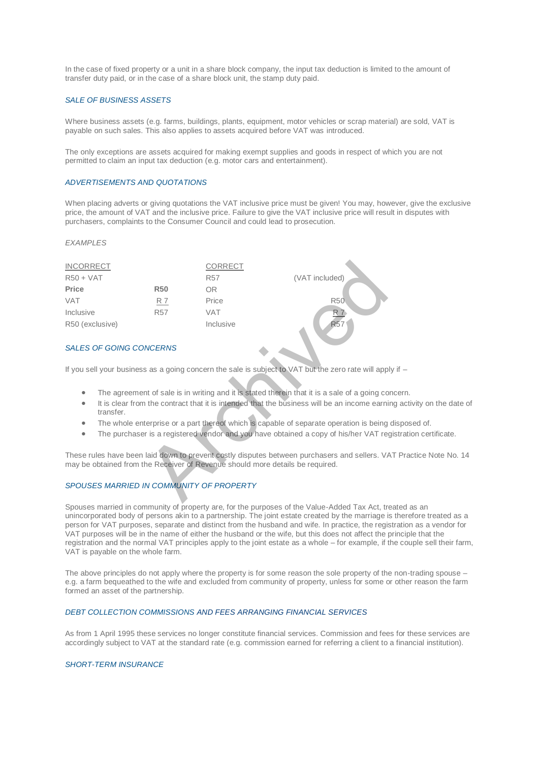In the case of fixed property or a unit in a share block company, the input tax deduction is limited to the amount of transfer duty paid, or in the case of a share block unit, the stamp duty paid.

## *SALE OF BUSINESS ASSETS*

Where business assets (e.g. farms, buildings, plants, equipment, motor vehicles or scrap material) are sold, VAT is payable on such sales. This also applies to assets acquired before VAT was introduced.

The only exceptions are assets acquired for making exempt supplies and goods in respect of which you are not permitted to claim an input tax deduction (e.g. motor cars and entertainment).

## *ADVERTISEMENTS AND QUOTATIONS*

When placing adverts or giving quotations the VAT inclusive price must be given! You may, however, give the exclusive price, the amount of VAT and the inclusive price. Failure to give the VAT inclusive price will result in disputes with purchasers, complaints to the Consumer Council and could lead to prosecution.

### *EXAMPLES*

| <b>INCORRECT</b>                                                                                     |                                                                                                           |            | <b>CORRECT</b>                                                                |                                                                                               |  |
|------------------------------------------------------------------------------------------------------|-----------------------------------------------------------------------------------------------------------|------------|-------------------------------------------------------------------------------|-----------------------------------------------------------------------------------------------|--|
| $R50 + VAT$                                                                                          |                                                                                                           |            | <b>R57</b>                                                                    | (VAT included)                                                                                |  |
| Price                                                                                                |                                                                                                           | <b>R50</b> | OR.                                                                           |                                                                                               |  |
| <b>VAT</b>                                                                                           |                                                                                                           | R 7        | Price                                                                         | <b>R50</b>                                                                                    |  |
| Inclusive                                                                                            |                                                                                                           | <b>R57</b> | <b>VAT</b>                                                                    | <u>R</u> 7                                                                                    |  |
| R50 (exclusive)                                                                                      |                                                                                                           |            | Inclusive                                                                     | <b>R57</b>                                                                                    |  |
| <b>SALES OF GOING CONCERNS</b>                                                                       |                                                                                                           |            |                                                                               |                                                                                               |  |
| If you sell your business as a going concern the sale is subject to VAT but the zero rate will apply |                                                                                                           |            |                                                                               |                                                                                               |  |
| The agreement of sale is in writing and it is stated therein that it is a sale of a going cor<br>۰   |                                                                                                           |            |                                                                               |                                                                                               |  |
| $\bullet$                                                                                            | It is clear from the contract that it is intended that the business will be an income earnir<br>transfer. |            |                                                                               |                                                                                               |  |
| The whole enterprise or a part thereof which is capable of separate operation is being<br>۰          |                                                                                                           |            |                                                                               |                                                                                               |  |
| The purchaser is a registered vendor and you have obtained a copy of his/her VAT reg<br>$\bullet$    |                                                                                                           |            |                                                                               |                                                                                               |  |
|                                                                                                      |                                                                                                           |            |                                                                               |                                                                                               |  |
|                                                                                                      |                                                                                                           |            | may be obtained from the Receiver of Revenue should more details be required. | These rules have been laid down to prevent costly disputes between purchasers and sellers. VA |  |
| SPOUSES MARRIED IN COMMUNITY OF PROPERTY                                                             |                                                                                                           |            |                                                                               |                                                                                               |  |

### *SALES OF GOING CONCERNS*

If you sell your business as a going concern the sale is subject to VAT but the zero rate will apply if -

- The agreement of sale is in writing and it is stated therein that it is a sale of a going concern.
- It is clear from the contract that it is intended that the business will be an income earning activity on the date of transfer.
- The whole enterprise or a part thereof which is capable of separate operation is being disposed of.
- The purchaser is a registered vendor and you have obtained a copy of his/her VAT registration certificate.

These rules have been laid down to prevent costly disputes between purchasers and sellers. VAT Practice Note No. 14 may be obtained from the Receiver of Revenue should more details be required.

# *SPOUSES MARRIED IN COMMUNITY OF PROPERTY*

Spouses married in community of property are, for the purposes of the Value-Added Tax Act, treated as an unincorporated body of persons akin to a partnership. The joint estate created by the marriage is therefore treated as a person for VAT purposes, separate and distinct from the husband and wife. In practice, the registration as a vendor for VAT purposes will be in the name of either the husband or the wife, but this does not affect the principle that the registration and the normal VAT principles apply to the joint estate as a whole – for example, if the couple sell their farm, VAT is payable on the whole farm.

The above principles do not apply where the property is for some reason the sole property of the non-trading spouse – e.g. a farm bequeathed to the wife and excluded from community of property, unless for some or other reason the farm formed an asset of the partnership.

# *DEBT COLLECTION COMMISSIONS AND FEES ARRANGING FINANCIAL SERVICES*

As from 1 April 1995 these services no longer constitute financial services. Commission and fees for these services are accordingly subject to VAT at the standard rate (e.g. commission earned for referring a client to a financial institution).

### *SHORT-TERM INSURANCE*